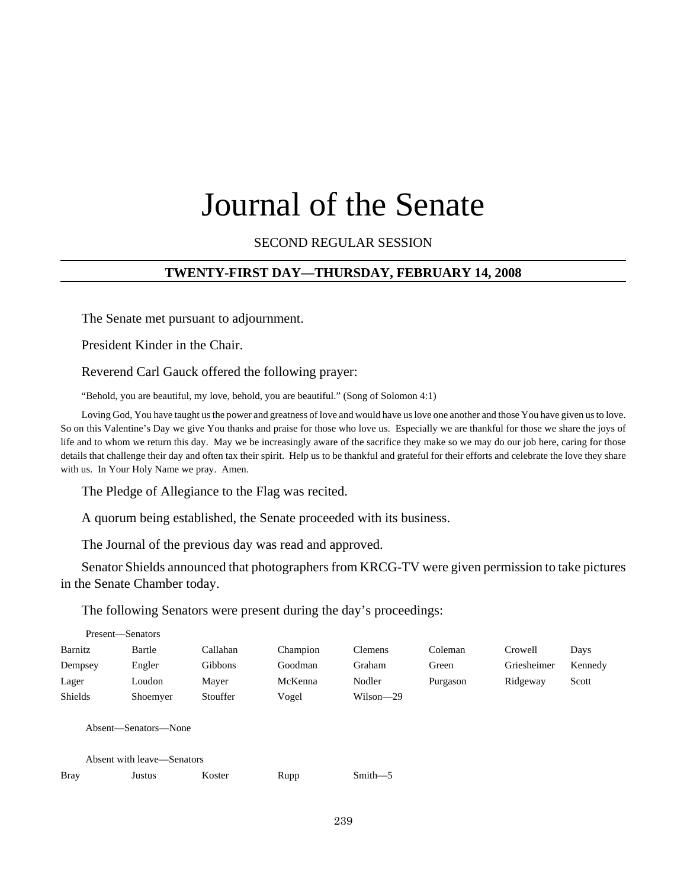# Journal of the Senate

## SECOND REGULAR SESSION

#### **TWENTY-FIRST DAY—THURSDAY, FEBRUARY 14, 2008**

The Senate met pursuant to adjournment.

President Kinder in the Chair.

Reverend Carl Gauck offered the following prayer:

"Behold, you are beautiful, my love, behold, you are beautiful." (Song of Solomon 4:1)

Loving God, You have taught us the power and greatness of love and would have us love one another and those You have given us to love. So on this Valentine's Day we give You thanks and praise for those who love us. Especially we are thankful for those we share the joys of life and to whom we return this day. May we be increasingly aware of the sacrifice they make so we may do our job here, caring for those details that challenge their day and often tax their spirit. Help us to be thankful and grateful for their efforts and celebrate the love they share with us. In Your Holy Name we pray. Amen.

The Pledge of Allegiance to the Flag was recited.

A quorum being established, the Senate proceeded with its business.

The Journal of the previous day was read and approved.

Senator Shields announced that photographers from KRCG-TV were given permission to take pictures in the Senate Chamber today.

The following Senators were present during the day's proceedings:

|                                                    | Present-Senators |          |          |          |             |          |             |         |  |
|----------------------------------------------------|------------------|----------|----------|----------|-------------|----------|-------------|---------|--|
| Barnitz                                            |                  | Bartle   | Callahan | Champion | Clemens     | Coleman  | Crowell     | Days    |  |
| Dempsey                                            |                  | Engler   | Gibbons  | Goodman  | Graham      | Green    | Griesheimer | Kennedy |  |
| Lager                                              |                  | Loudon   | Mayer    | McKenna  | Nodler      | Purgason | Ridgeway    | Scott   |  |
| <b>Shields</b>                                     |                  | Shoemyer | Stouffer | Vogel    | Wilson-29   |          |             |         |  |
| Absent—Senators—None<br>Absent with leave—Senators |                  |          |          |          |             |          |             |         |  |
|                                                    |                  |          |          |          |             |          |             |         |  |
| <b>Bray</b>                                        |                  | Justus   | Koster   | Rupp     | $Smith - 5$ |          |             |         |  |
|                                                    |                  |          |          |          |             |          |             |         |  |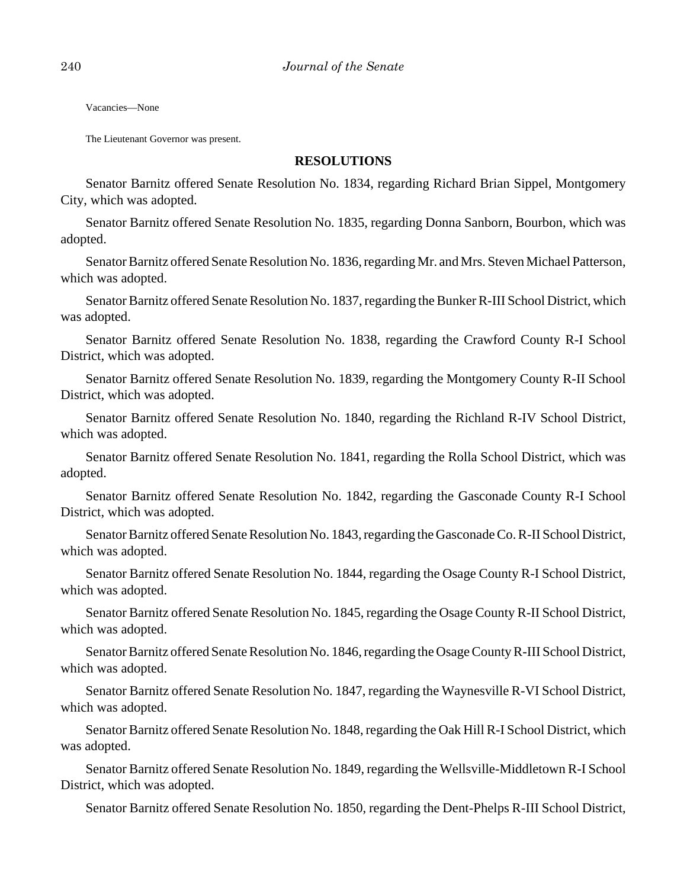Vacancies—None

The Lieutenant Governor was present.

#### **RESOLUTIONS**

Senator Barnitz offered Senate Resolution No. 1834, regarding Richard Brian Sippel, Montgomery City, which was adopted.

Senator Barnitz offered Senate Resolution No. 1835, regarding Donna Sanborn, Bourbon, which was adopted.

Senator Barnitz offered Senate Resolution No. 1836, regarding Mr. and Mrs. Steven Michael Patterson, which was adopted.

Senator Barnitz offered Senate Resolution No. 1837, regarding the Bunker R-III School District, which was adopted.

Senator Barnitz offered Senate Resolution No. 1838, regarding the Crawford County R-I School District, which was adopted.

Senator Barnitz offered Senate Resolution No. 1839, regarding the Montgomery County R-II School District, which was adopted.

Senator Barnitz offered Senate Resolution No. 1840, regarding the Richland R-IV School District, which was adopted.

Senator Barnitz offered Senate Resolution No. 1841, regarding the Rolla School District, which was adopted.

Senator Barnitz offered Senate Resolution No. 1842, regarding the Gasconade County R-I School District, which was adopted.

Senator Barnitz offered Senate Resolution No. 1843, regarding the Gasconade Co. R-II School District, which was adopted.

Senator Barnitz offered Senate Resolution No. 1844, regarding the Osage County R-I School District, which was adopted.

Senator Barnitz offered Senate Resolution No. 1845, regarding the Osage County R-II School District, which was adopted.

Senator Barnitz offered Senate Resolution No. 1846, regarding the Osage County R-III School District, which was adopted.

Senator Barnitz offered Senate Resolution No. 1847, regarding the Waynesville R-VI School District, which was adopted.

Senator Barnitz offered Senate Resolution No. 1848, regarding the Oak Hill R-I School District, which was adopted.

Senator Barnitz offered Senate Resolution No. 1849, regarding the Wellsville-Middletown R-I School District, which was adopted.

Senator Barnitz offered Senate Resolution No. 1850, regarding the Dent-Phelps R-III School District,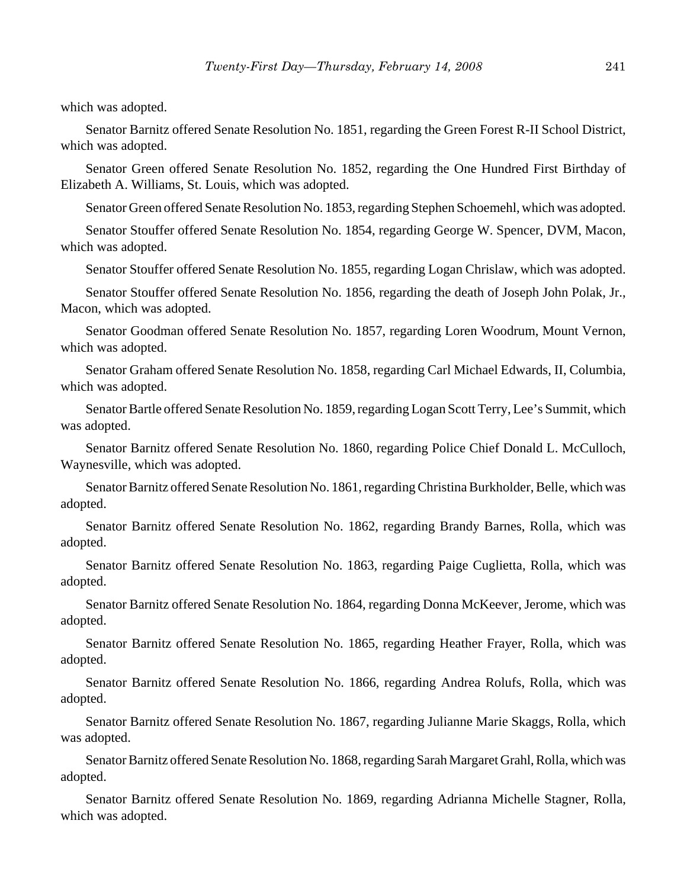which was adopted.

Senator Barnitz offered Senate Resolution No. 1851, regarding the Green Forest R-II School District, which was adopted.

Senator Green offered Senate Resolution No. 1852, regarding the One Hundred First Birthday of Elizabeth A. Williams, St. Louis, which was adopted.

Senator Green offered Senate Resolution No. 1853, regarding Stephen Schoemehl, which was adopted.

Senator Stouffer offered Senate Resolution No. 1854, regarding George W. Spencer, DVM, Macon, which was adopted.

Senator Stouffer offered Senate Resolution No. 1855, regarding Logan Chrislaw, which was adopted.

Senator Stouffer offered Senate Resolution No. 1856, regarding the death of Joseph John Polak, Jr., Macon, which was adopted.

Senator Goodman offered Senate Resolution No. 1857, regarding Loren Woodrum, Mount Vernon, which was adopted.

Senator Graham offered Senate Resolution No. 1858, regarding Carl Michael Edwards, II, Columbia, which was adopted.

Senator Bartle offered Senate Resolution No. 1859, regarding Logan Scott Terry, Lee's Summit, which was adopted.

Senator Barnitz offered Senate Resolution No. 1860, regarding Police Chief Donald L. McCulloch, Waynesville, which was adopted.

Senator Barnitz offered Senate Resolution No. 1861, regarding Christina Burkholder, Belle, which was adopted.

Senator Barnitz offered Senate Resolution No. 1862, regarding Brandy Barnes, Rolla, which was adopted.

Senator Barnitz offered Senate Resolution No. 1863, regarding Paige Cuglietta, Rolla, which was adopted.

Senator Barnitz offered Senate Resolution No. 1864, regarding Donna McKeever, Jerome, which was adopted.

Senator Barnitz offered Senate Resolution No. 1865, regarding Heather Frayer, Rolla, which was adopted.

Senator Barnitz offered Senate Resolution No. 1866, regarding Andrea Rolufs, Rolla, which was adopted.

Senator Barnitz offered Senate Resolution No. 1867, regarding Julianne Marie Skaggs, Rolla, which was adopted.

Senator Barnitz offered Senate Resolution No. 1868, regarding Sarah Margaret Grahl, Rolla, which was adopted.

Senator Barnitz offered Senate Resolution No. 1869, regarding Adrianna Michelle Stagner, Rolla, which was adopted.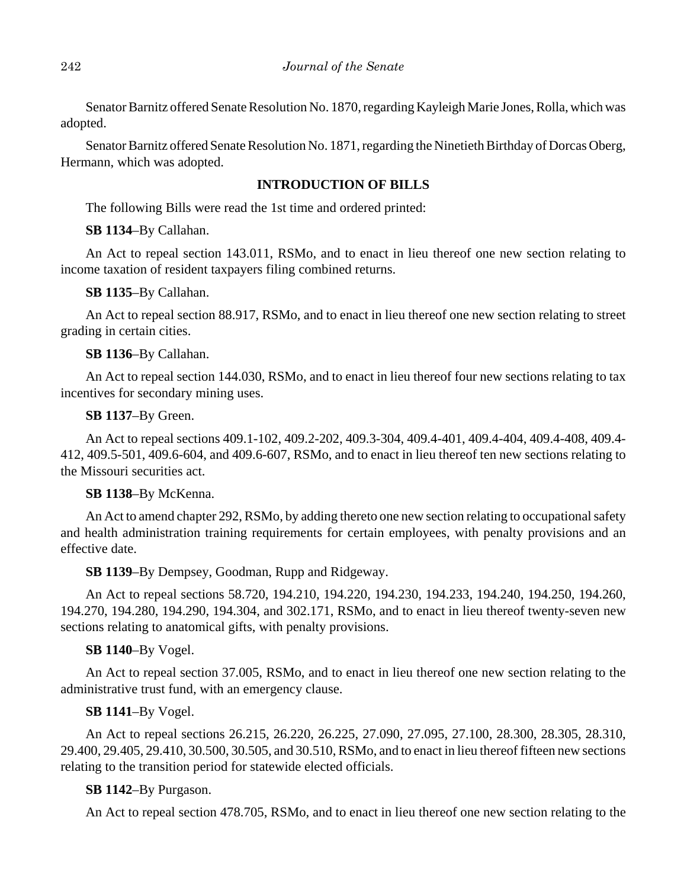Senator Barnitz offered Senate Resolution No. 1870, regarding Kayleigh Marie Jones, Rolla, which was adopted.

Senator Barnitz offered Senate Resolution No. 1871, regarding the Ninetieth Birthday of Dorcas Oberg, Hermann, which was adopted.

# **INTRODUCTION OF BILLS**

The following Bills were read the 1st time and ordered printed:

**SB 1134**–By Callahan.

An Act to repeal section 143.011, RSMo, and to enact in lieu thereof one new section relating to income taxation of resident taxpayers filing combined returns.

**SB 1135**–By Callahan.

An Act to repeal section 88.917, RSMo, and to enact in lieu thereof one new section relating to street grading in certain cities.

# **SB 1136**–By Callahan.

An Act to repeal section 144.030, RSMo, and to enact in lieu thereof four new sections relating to tax incentives for secondary mining uses.

# **SB 1137**–By Green.

An Act to repeal sections 409.1-102, 409.2-202, 409.3-304, 409.4-401, 409.4-404, 409.4-408, 409.4- 412, 409.5-501, 409.6-604, and 409.6-607, RSMo, and to enact in lieu thereof ten new sections relating to the Missouri securities act.

## **SB 1138**–By McKenna.

An Act to amend chapter 292, RSMo, by adding thereto one new section relating to occupational safety and health administration training requirements for certain employees, with penalty provisions and an effective date.

**SB 1139**–By Dempsey, Goodman, Rupp and Ridgeway.

An Act to repeal sections 58.720, 194.210, 194.220, 194.230, 194.233, 194.240, 194.250, 194.260, 194.270, 194.280, 194.290, 194.304, and 302.171, RSMo, and to enact in lieu thereof twenty-seven new sections relating to anatomical gifts, with penalty provisions.

# **SB 1140**–By Vogel.

An Act to repeal section 37.005, RSMo, and to enact in lieu thereof one new section relating to the administrative trust fund, with an emergency clause.

# **SB 1141**–By Vogel.

An Act to repeal sections 26.215, 26.220, 26.225, 27.090, 27.095, 27.100, 28.300, 28.305, 28.310, 29.400, 29.405, 29.410, 30.500, 30.505, and 30.510, RSMo, and to enact in lieu thereof fifteen new sections relating to the transition period for statewide elected officials.

# **SB 1142**–By Purgason.

An Act to repeal section 478.705, RSMo, and to enact in lieu thereof one new section relating to the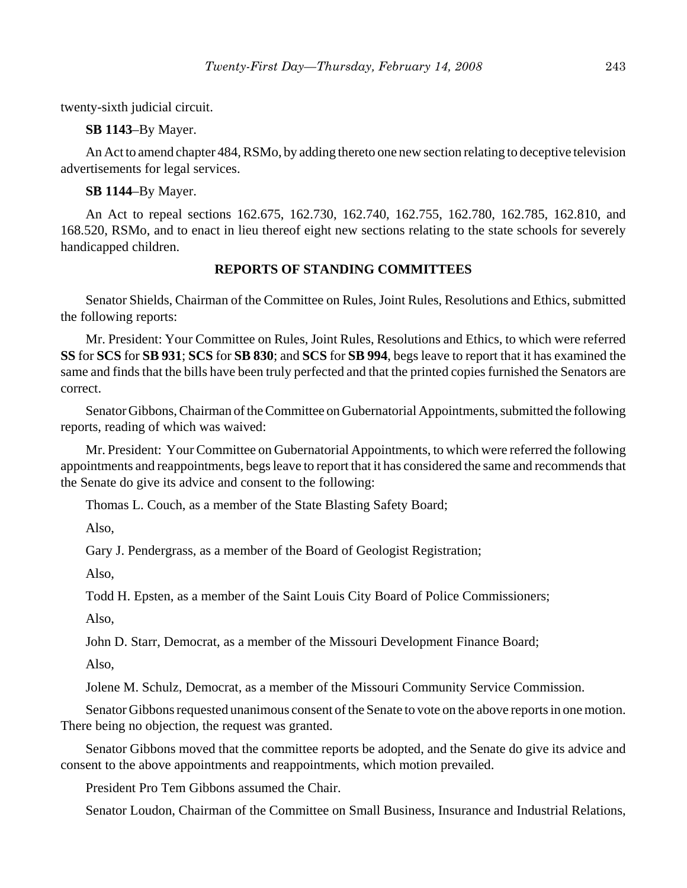twenty-sixth judicial circuit.

**SB 1143**–By Mayer.

An Act to amend chapter 484, RSMo, by adding thereto one new section relating to deceptive television advertisements for legal services.

**SB 1144**–By Mayer.

An Act to repeal sections 162.675, 162.730, 162.740, 162.755, 162.780, 162.785, 162.810, and 168.520, RSMo, and to enact in lieu thereof eight new sections relating to the state schools for severely handicapped children.

#### **REPORTS OF STANDING COMMITTEES**

Senator Shields, Chairman of the Committee on Rules, Joint Rules, Resolutions and Ethics, submitted the following reports:

Mr. President: Your Committee on Rules, Joint Rules, Resolutions and Ethics, to which were referred **SS** for **SCS** for **SB 931**; **SCS** for **SB 830**; and **SCS** for **SB 994**, begs leave to report that it has examined the same and finds that the bills have been truly perfected and that the printed copies furnished the Senators are correct.

Senator Gibbons, Chairman of the Committee on Gubernatorial Appointments, submitted the following reports, reading of which was waived:

Mr. President: Your Committee on Gubernatorial Appointments, to which were referred the following appointments and reappointments, begs leave to report that it has considered the same and recommends that the Senate do give its advice and consent to the following:

Thomas L. Couch, as a member of the State Blasting Safety Board;

Also,

Gary J. Pendergrass, as a member of the Board of Geologist Registration;

Also,

Todd H. Epsten, as a member of the Saint Louis City Board of Police Commissioners;

Also,

John D. Starr, Democrat, as a member of the Missouri Development Finance Board;

Also,

Jolene M. Schulz, Democrat, as a member of the Missouri Community Service Commission.

Senator Gibbons requested unanimous consent of the Senate to vote on the above reports in one motion. There being no objection, the request was granted.

Senator Gibbons moved that the committee reports be adopted, and the Senate do give its advice and consent to the above appointments and reappointments, which motion prevailed.

President Pro Tem Gibbons assumed the Chair.

Senator Loudon, Chairman of the Committee on Small Business, Insurance and Industrial Relations,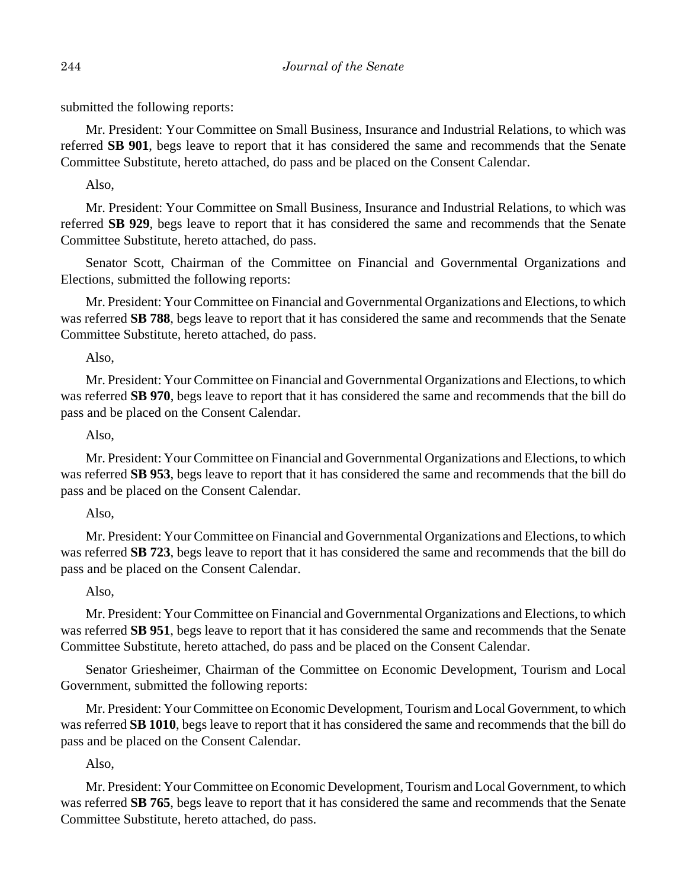submitted the following reports:

Mr. President: Your Committee on Small Business, Insurance and Industrial Relations, to which was referred **SB 901**, begs leave to report that it has considered the same and recommends that the Senate Committee Substitute, hereto attached, do pass and be placed on the Consent Calendar.

Also,

Mr. President: Your Committee on Small Business, Insurance and Industrial Relations, to which was referred **SB 929**, begs leave to report that it has considered the same and recommends that the Senate Committee Substitute, hereto attached, do pass.

Senator Scott, Chairman of the Committee on Financial and Governmental Organizations and Elections, submitted the following reports:

Mr. President: Your Committee on Financial and Governmental Organizations and Elections, to which was referred **SB 788**, begs leave to report that it has considered the same and recommends that the Senate Committee Substitute, hereto attached, do pass.

Also,

Mr. President: Your Committee on Financial and Governmental Organizations and Elections, to which was referred **SB 970**, begs leave to report that it has considered the same and recommends that the bill do pass and be placed on the Consent Calendar.

Also,

Mr. President: Your Committee on Financial and Governmental Organizations and Elections, to which was referred **SB 953**, begs leave to report that it has considered the same and recommends that the bill do pass and be placed on the Consent Calendar.

Also,

Mr. President: Your Committee on Financial and Governmental Organizations and Elections, to which was referred **SB 723**, begs leave to report that it has considered the same and recommends that the bill do pass and be placed on the Consent Calendar.

# Also,

Mr. President: Your Committee on Financial and Governmental Organizations and Elections, to which was referred **SB 951**, begs leave to report that it has considered the same and recommends that the Senate Committee Substitute, hereto attached, do pass and be placed on the Consent Calendar.

Senator Griesheimer, Chairman of the Committee on Economic Development, Tourism and Local Government, submitted the following reports:

Mr. President: Your Committee on Economic Development, Tourism and Local Government, to which was referred **SB 1010**, begs leave to report that it has considered the same and recommends that the bill do pass and be placed on the Consent Calendar.

Also,

Mr. President: Your Committee on Economic Development, Tourism and Local Government, to which was referred **SB 765**, begs leave to report that it has considered the same and recommends that the Senate Committee Substitute, hereto attached, do pass.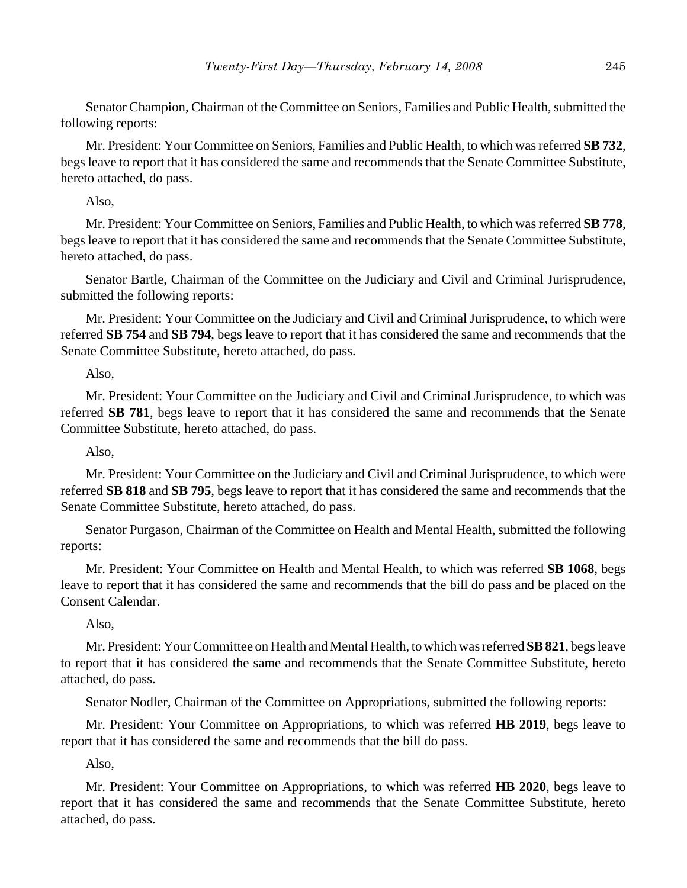Senator Champion, Chairman of the Committee on Seniors, Families and Public Health, submitted the following reports:

Mr. President: Your Committee on Seniors, Families and Public Health, to which was referred **SB 732**, begs leave to report that it has considered the same and recommends that the Senate Committee Substitute, hereto attached, do pass.

Also,

Mr. President: Your Committee on Seniors, Families and Public Health, to which was referred **SB 778**, begs leave to report that it has considered the same and recommends that the Senate Committee Substitute, hereto attached, do pass.

Senator Bartle, Chairman of the Committee on the Judiciary and Civil and Criminal Jurisprudence, submitted the following reports:

Mr. President: Your Committee on the Judiciary and Civil and Criminal Jurisprudence, to which were referred **SB 754** and **SB 794**, begs leave to report that it has considered the same and recommends that the Senate Committee Substitute, hereto attached, do pass.

Also,

Mr. President: Your Committee on the Judiciary and Civil and Criminal Jurisprudence, to which was referred **SB 781**, begs leave to report that it has considered the same and recommends that the Senate Committee Substitute, hereto attached, do pass.

Also,

Mr. President: Your Committee on the Judiciary and Civil and Criminal Jurisprudence, to which were referred **SB 818** and **SB 795**, begs leave to report that it has considered the same and recommends that the Senate Committee Substitute, hereto attached, do pass.

Senator Purgason, Chairman of the Committee on Health and Mental Health, submitted the following reports:

Mr. President: Your Committee on Health and Mental Health, to which was referred **SB 1068**, begs leave to report that it has considered the same and recommends that the bill do pass and be placed on the Consent Calendar.

# Also,

Mr. President: Your Committee on Health and Mental Health, to which was referred **SB 821**, begs leave to report that it has considered the same and recommends that the Senate Committee Substitute, hereto attached, do pass.

Senator Nodler, Chairman of the Committee on Appropriations, submitted the following reports:

Mr. President: Your Committee on Appropriations, to which was referred **HB 2019**, begs leave to report that it has considered the same and recommends that the bill do pass.

Also,

Mr. President: Your Committee on Appropriations, to which was referred **HB 2020**, begs leave to report that it has considered the same and recommends that the Senate Committee Substitute, hereto attached, do pass.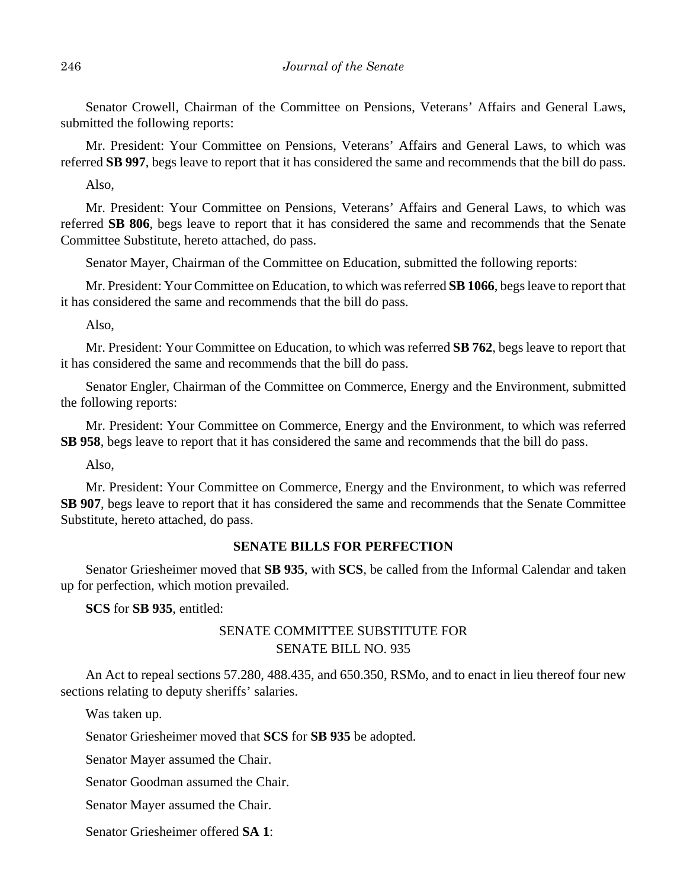Senator Crowell, Chairman of the Committee on Pensions, Veterans' Affairs and General Laws, submitted the following reports:

Mr. President: Your Committee on Pensions, Veterans' Affairs and General Laws, to which was referred **SB 997**, begs leave to report that it has considered the same and recommends that the bill do pass.

Also,

Mr. President: Your Committee on Pensions, Veterans' Affairs and General Laws, to which was referred **SB 806**, begs leave to report that it has considered the same and recommends that the Senate Committee Substitute, hereto attached, do pass.

Senator Mayer, Chairman of the Committee on Education, submitted the following reports:

Mr. President: Your Committee on Education, to which was referred **SB 1066**, begs leave to report that it has considered the same and recommends that the bill do pass.

Also,

Mr. President: Your Committee on Education, to which was referred **SB 762**, begs leave to report that it has considered the same and recommends that the bill do pass.

Senator Engler, Chairman of the Committee on Commerce, Energy and the Environment, submitted the following reports:

Mr. President: Your Committee on Commerce, Energy and the Environment, to which was referred **SB 958**, begs leave to report that it has considered the same and recommends that the bill do pass.

Also,

Mr. President: Your Committee on Commerce, Energy and the Environment, to which was referred **SB 907**, begs leave to report that it has considered the same and recommends that the Senate Committee Substitute, hereto attached, do pass.

#### **SENATE BILLS FOR PERFECTION**

Senator Griesheimer moved that **SB 935**, with **SCS**, be called from the Informal Calendar and taken up for perfection, which motion prevailed.

**SCS** for **SB 935**, entitled:

# SENATE COMMITTEE SUBSTITUTE FOR SENATE BILL NO. 935

An Act to repeal sections 57.280, 488.435, and 650.350, RSMo, and to enact in lieu thereof four new sections relating to deputy sheriffs' salaries.

Was taken up.

Senator Griesheimer moved that **SCS** for **SB 935** be adopted.

Senator Mayer assumed the Chair.

Senator Goodman assumed the Chair.

Senator Mayer assumed the Chair.

Senator Griesheimer offered **SA 1**: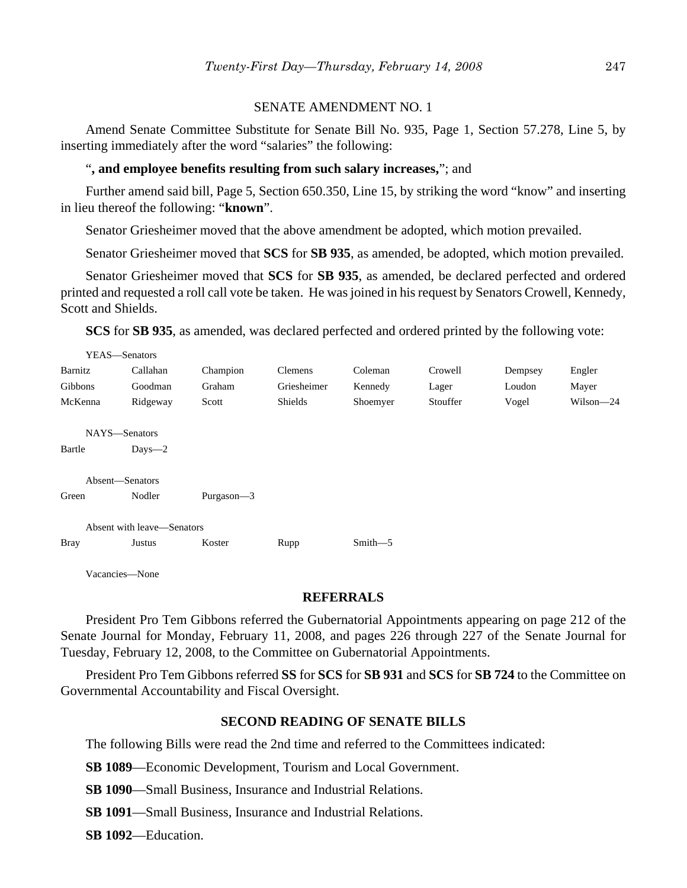#### SENATE AMENDMENT NO. 1

Amend Senate Committee Substitute for Senate Bill No. 935, Page 1, Section 57.278, Line 5, by inserting immediately after the word "salaries" the following:

#### "**, and employee benefits resulting from such salary increases,**"; and

Further amend said bill, Page 5, Section 650.350, Line 15, by striking the word "know" and inserting in lieu thereof the following: "**known**".

Senator Griesheimer moved that the above amendment be adopted, which motion prevailed.

Senator Griesheimer moved that **SCS** for **SB 935**, as amended, be adopted, which motion prevailed.

Senator Griesheimer moved that **SCS** for **SB 935**, as amended, be declared perfected and ordered printed and requested a roll call vote be taken. He was joined in his request by Senators Crowell, Kennedy, Scott and Shields.

**SCS** for **SB 935**, as amended, was declared perfected and ordered printed by the following vote:

| YEAS—Senators              |            |            |             |             |          |         |           |  |  |  |
|----------------------------|------------|------------|-------------|-------------|----------|---------|-----------|--|--|--|
| Barnitz                    | Callahan   | Champion   | Clemens     | Coleman     | Crowell  | Dempsey | Engler    |  |  |  |
| Gibbons                    | Goodman    | Graham     | Griesheimer | Kennedy     | Lager    | Loudon  | Mayer     |  |  |  |
| McKenna                    | Ridgeway   | Scott      | Shields     | Shoemyer    | Stouffer | Vogel   | Wilson-24 |  |  |  |
| NAYS-Senators              |            |            |             |             |          |         |           |  |  |  |
| Bartle                     | $Days - 2$ |            |             |             |          |         |           |  |  |  |
| Absent-Senators            |            |            |             |             |          |         |           |  |  |  |
| Green                      | Nodler     | Purgason-3 |             |             |          |         |           |  |  |  |
| Absent with leave—Senators |            |            |             |             |          |         |           |  |  |  |
| <b>Bray</b>                | Justus     | Koster     | Rupp        | $Smith - 5$ |          |         |           |  |  |  |
|                            |            |            |             |             |          |         |           |  |  |  |

Vacancies—None

#### **REFERRALS**

President Pro Tem Gibbons referred the Gubernatorial Appointments appearing on page 212 of the Senate Journal for Monday, February 11, 2008, and pages 226 through 227 of the Senate Journal for Tuesday, February 12, 2008, to the Committee on Gubernatorial Appointments.

President Pro Tem Gibbons referred **SS** for **SCS** for **SB 931** and **SCS** for **SB 724** to the Committee on Governmental Accountability and Fiscal Oversight.

#### **SECOND READING OF SENATE BILLS**

The following Bills were read the 2nd time and referred to the Committees indicated:

**SB 1089**—Economic Development, Tourism and Local Government.

**SB 1090**—Small Business, Insurance and Industrial Relations.

**SB 1091**—Small Business, Insurance and Industrial Relations.

**SB 1092**—Education.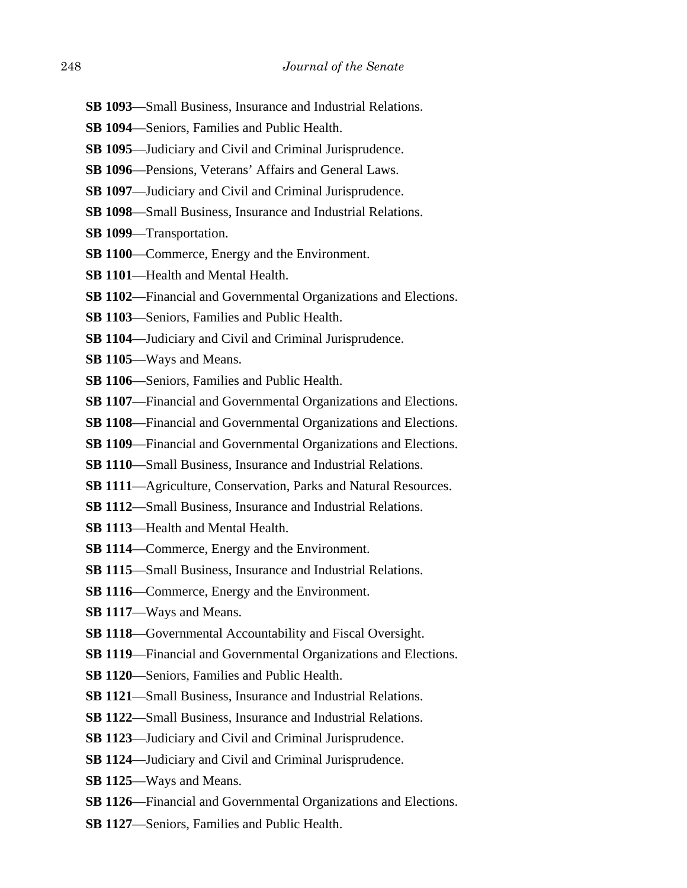- **SB 1093**—Small Business, Insurance and Industrial Relations.
- **SB 1094**—Seniors, Families and Public Health.
- **SB 1095**—Judiciary and Civil and Criminal Jurisprudence.
- **SB 1096**—Pensions, Veterans' Affairs and General Laws.
- **SB 1097**—Judiciary and Civil and Criminal Jurisprudence.
- **SB 1098**—Small Business, Insurance and Industrial Relations.
- **SB 1099**—Transportation.
- **SB 1100**—Commerce, Energy and the Environment.
- **SB 1101**—Health and Mental Health.
- **SB 1102**—Financial and Governmental Organizations and Elections.
- **SB 1103**—Seniors, Families and Public Health.
- **SB 1104**—Judiciary and Civil and Criminal Jurisprudence.
- **SB 1105**—Ways and Means.
- **SB 1106**—Seniors, Families and Public Health.
- **SB 1107**—Financial and Governmental Organizations and Elections.
- **SB 1108**—Financial and Governmental Organizations and Elections.
- **SB 1109**—Financial and Governmental Organizations and Elections.
- **SB 1110**—Small Business, Insurance and Industrial Relations.
- **SB 1111**—Agriculture, Conservation, Parks and Natural Resources.
- **SB 1112**—Small Business, Insurance and Industrial Relations.
- **SB 1113**—Health and Mental Health.
- **SB 1114**—Commerce, Energy and the Environment.
- **SB 1115**—Small Business, Insurance and Industrial Relations.
- **SB 1116**—Commerce, Energy and the Environment.
- **SB 1117**—Ways and Means.
- **SB 1118**—Governmental Accountability and Fiscal Oversight.
- **SB 1119**—Financial and Governmental Organizations and Elections.
- **SB 1120**—Seniors, Families and Public Health.
- **SB 1121**—Small Business, Insurance and Industrial Relations.
- **SB 1122**—Small Business, Insurance and Industrial Relations.
- **SB 1123**—Judiciary and Civil and Criminal Jurisprudence.
- **SB 1124**—Judiciary and Civil and Criminal Jurisprudence.
- **SB 1125**—Ways and Means.
- **SB 1126**—Financial and Governmental Organizations and Elections.
- **SB 1127**—Seniors, Families and Public Health.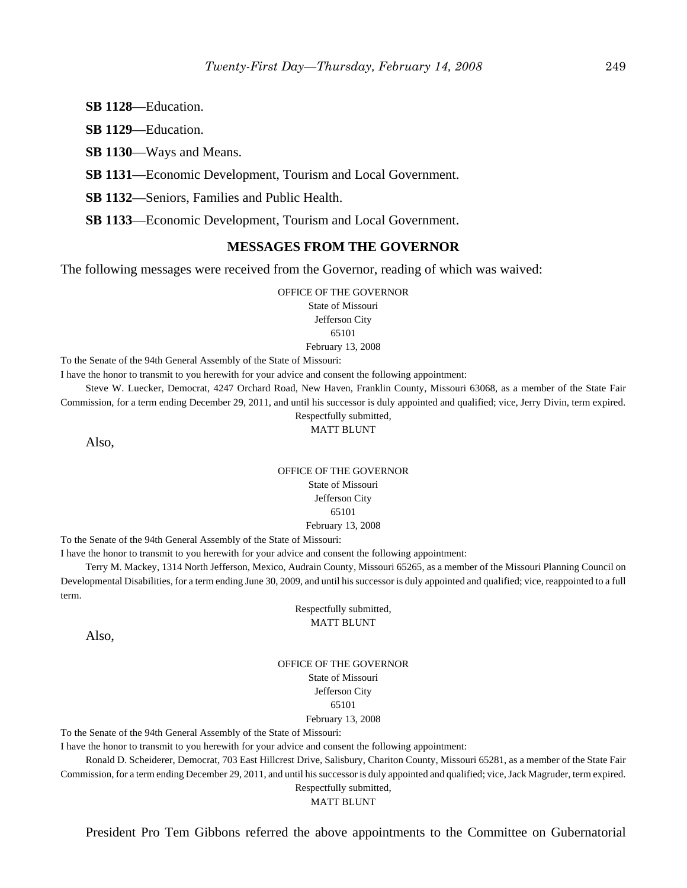**SB 1128**—Education.

**SB 1129**—Education.

**SB 1130**—Ways and Means.

**SB 1131**—Economic Development, Tourism and Local Government.

**SB 1132**—Seniors, Families and Public Health.

**SB 1133**—Economic Development, Tourism and Local Government.

#### **MESSAGES FROM THE GOVERNOR**

The following messages were received from the Governor, reading of which was waived:

OFFICE OF THE GOVERNOR

State of Missouri Jefferson City

65101

#### February 13, 2008

To the Senate of the 94th General Assembly of the State of Missouri:

I have the honor to transmit to you herewith for your advice and consent the following appointment:

Steve W. Luecker, Democrat, 4247 Orchard Road, New Haven, Franklin County, Missouri 63068, as a member of the State Fair Commission, for a term ending December 29, 2011, and until his successor is duly appointed and qualified; vice, Jerry Divin, term expired.

> Respectfully submitted, MATT BLUNT

Also,

#### OFFICE OF THE GOVERNOR State of Missouri Jefferson City 65101 February 13, 2008

To the Senate of the 94th General Assembly of the State of Missouri:

I have the honor to transmit to you herewith for your advice and consent the following appointment:

Terry M. Mackey, 1314 North Jefferson, Mexico, Audrain County, Missouri 65265, as a member of the Missouri Planning Council on Developmental Disabilities, for a term ending June 30, 2009, and until his successor is duly appointed and qualified; vice, reappointed to a full term.

> Respectfully submitted, MATT BLUNT

Also,

OFFICE OF THE GOVERNOR State of Missouri Jefferson City 65101 February 13, 2008

To the Senate of the 94th General Assembly of the State of Missouri:

I have the honor to transmit to you herewith for your advice and consent the following appointment:

Ronald D. Scheiderer, Democrat, 703 East Hillcrest Drive, Salisbury, Chariton County, Missouri 65281, as a member of the State Fair Commission, for a term ending December 29, 2011, and until his successor is duly appointed and qualified; vice, Jack Magruder, term expired. Respectfully submitted,

MATT BLUNT

President Pro Tem Gibbons referred the above appointments to the Committee on Gubernatorial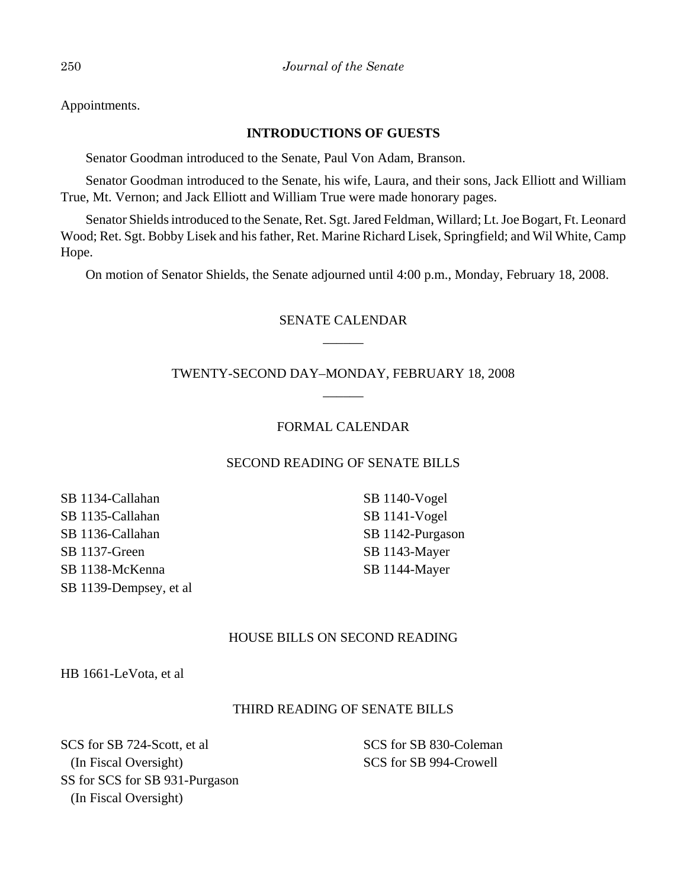Appointments.

# **INTRODUCTIONS OF GUESTS**

Senator Goodman introduced to the Senate, Paul Von Adam, Branson.

Senator Goodman introduced to the Senate, his wife, Laura, and their sons, Jack Elliott and William True, Mt. Vernon; and Jack Elliott and William True were made honorary pages.

Senator Shields introduced to the Senate, Ret. Sgt. Jared Feldman, Willard; Lt. Joe Bogart, Ft. Leonard Wood; Ret. Sgt. Bobby Lisek and his father, Ret. Marine Richard Lisek, Springfield; and Wil White, Camp Hope.

On motion of Senator Shields, the Senate adjourned until 4:00 p.m., Monday, February 18, 2008.

# SENATE CALENDAR \_\_\_\_\_\_

# TWENTY-SECOND DAY–MONDAY, FEBRUARY 18, 2008  $\overline{\phantom{a}}$

# FORMAL CALENDAR

## SECOND READING OF SENATE BILLS

SB 1134-Callahan SB 1135-Callahan SB 1136-Callahan SB 1137-Green SB 1138-McKenna SB 1139-Dempsey, et al SB 1140-Vogel SB 1141-Vogel SB 1142-Purgason SB 1143-Mayer SB 1144-Mayer

## HOUSE BILLS ON SECOND READING

HB 1661-LeVota, et al

# THIRD READING OF SENATE BILLS

SCS for SB 724-Scott, et al (In Fiscal Oversight) SS for SCS for SB 931-Purgason (In Fiscal Oversight)

SCS for SB 830-Coleman SCS for SB 994-Crowell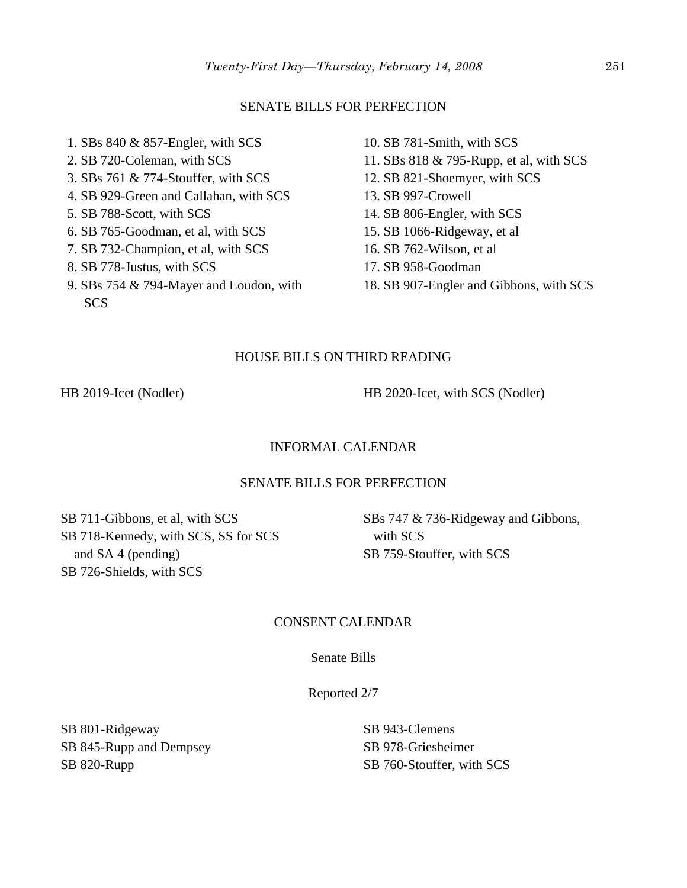#### SENATE BILLS FOR PERFECTION

- 1. SBs 840 & 857-Engler, with SCS 2. SB 720-Coleman, with SCS 3. SBs 761 & 774-Stouffer, with SCS 4. SB 929-Green and Callahan, with SCS 5. SB 788-Scott, with SCS 6. SB 765-Goodman, et al, with SCS 7. SB 732-Champion, et al, with SCS 8. SB 778-Justus, with SCS 9. SBs 754 & 794-Mayer and Loudon, with
- 10. SB 781-Smith, with SCS 11. SBs 818 & 795-Rupp, et al, with SCS 12. SB 821-Shoemyer, with SCS 13. SB 997-Crowell 14. SB 806-Engler, with SCS 15. SB 1066-Ridgeway, et al 16. SB 762-Wilson, et al 17. SB 958-Goodman
- 18. SB 907-Engler and Gibbons, with SCS

#### HOUSE BILLS ON THIRD READING

**SCS** 

HB 2019-Icet (Nodler) HB 2020-Icet, with SCS (Nodler)

#### INFORMAL CALENDAR

#### SENATE BILLS FOR PERFECTION

SB 711-Gibbons, et al, with SCS SB 718-Kennedy, with SCS, SS for SCS and SA 4 (pending) SB 726-Shields, with SCS

SBs 747 & 736-Ridgeway and Gibbons, with SCS SB 759-Stouffer, with SCS

#### CONSENT CALENDAR

Senate Bills

Reported 2/7

SB 801-Ridgeway SB 845-Rupp and Dempsey SB 820-Rupp

SB 943-Clemens SB 978-Griesheimer SB 760-Stouffer, with SCS